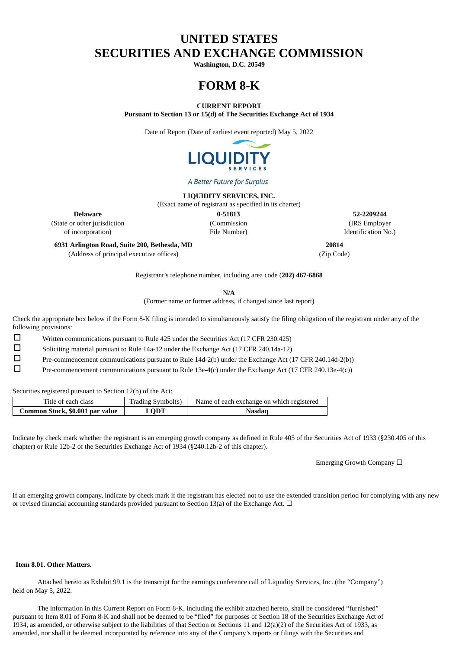# **UNITED STATES SECURITIES AND EXCHANGE COMMISSION**

**Washington, D.C. 20549**

# **FORM 8-K**

**CURRENT REPORT**

**Pursuant to Section 13 or 15(d) of The Securities Exchange Act of 1934**

Date of Report (Date of earliest event reported) May 5, 2022



A Better Future for Surplus

**LIQUIDITY SERVICES, INC.**

(Exact name of registrant as specified in its charter)

(State or other jurisdiction (Commission (IRS Employer of incorporation) File Number) Identification No.)

**Delaware 0-51813 52-2209244**

**6931 Arlington Road, Suite 200, Bethesda, MD 20814** (Address of principal executive offices) (Zip Code)

Registrant's telephone number, including area code (**202) 467-6868**

**N/A**

(Former name or former address, if changed since last report)

Check the appropriate box below if the Form 8-K filing is intended to simultaneously satisfy the filing obligation of the registrant under any of the following provisions:

☐ Written communications pursuant to Rule 425 under the Securities Act (17 CFR 230.425)

☐ Soliciting material pursuant to Rule 14a-12 under the Exchange Act (17 CFR 240.14a-12)

☐ Pre-commencement communications pursuant to Rule 14d-2(b) under the Exchange Act (17 CFR 240.14d-2(b))

☐ Pre-commencement communications pursuant to Rule 13e-4(c) under the Exchange Act (17 CFR 240.13e-4(c))

Securities registered pursuant to Section 12(b) of the Act:

| Title of each class             | Trading Symbol(s) | Name of each exchange on which registered |
|---------------------------------|-------------------|-------------------------------------------|
| Common Stock, \$0.001 par value | <b>LODT</b>       | Nasdag                                    |

Indicate by check mark whether the registrant is an emerging growth company as defined in Rule 405 of the Securities Act of 1933 (§230.405 of this chapter) or Rule 12b-2 of the Securities Exchange Act of 1934 (§240.12b-2 of this chapter).

Emerging Growth Company ☐

If an emerging growth company, indicate by check mark if the registrant has elected not to use the extended transition period for complying with any new or revised financial accounting standards provided pursuant to Section 13(a) of the Exchange Act.  $\Box$ 

#### **Item 8.01. Other Matters.**

Attached hereto as Exhibit 99.1 is the transcript for the earnings conference call of Liquidity Services, Inc. (the "Company") held on May 5, 2022.

The information in this Current Report on Form 8-K, including the exhibit attached hereto, shall be considered "furnished" pursuant to Item 8.01 of Form 8-K and shall not be deemed to be "filed" for purposes of Section 18 of the Securities Exchange Act of 1934, as amended, or otherwise subject to the liabilities of that Section or Sections 11 and  $12(a)(2)$  of the Securities Act of 1933, as amended, nor shall it be deemed incorporated by reference into any of the Company's reports or filings with the Securities and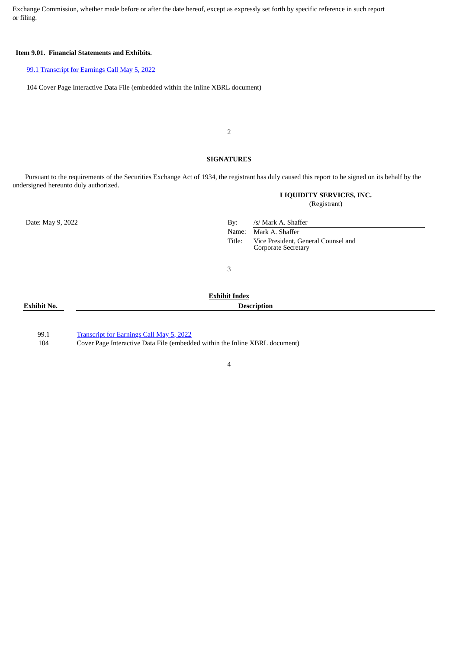Exchange Commission, whether made before or after the date hereof, except as expressly set forth by specific reference in such report or filing.

#### **Item 9.01. Financial Statements and Exhibits.**

#### 99.1 [Transcript](#page-2-0) for Earnings Call [May](#page-2-0) 5, [2022](#page-2-0)

104 Cover Page Interactive Data File (embedded within the Inline XBRL document)

2

#### **SIGNATURES**

Pursuant to the requirements of the Securities Exchange Act of 1934, the registrant has duly caused this report to be signed on its behalf by the undersigned hereunto duly authorized.

**LIQUIDITY SERVICES, INC.**

(Registrant)

Date: May 9, 2022 By: /s/ Mark A. Shaffer Name: Mark A. Shaffer Title: Vice President, General Counsel and Corporate Secretary

3

#### **Exhibit No. Description**

# **Exhibit Index**

99.1 [Transcript](#page-2-0) for Earnings Call [May](#page-2-0) 5, [2022](#page-2-0)

104 Cover Page Interactive Data File (embedded within the Inline XBRL document)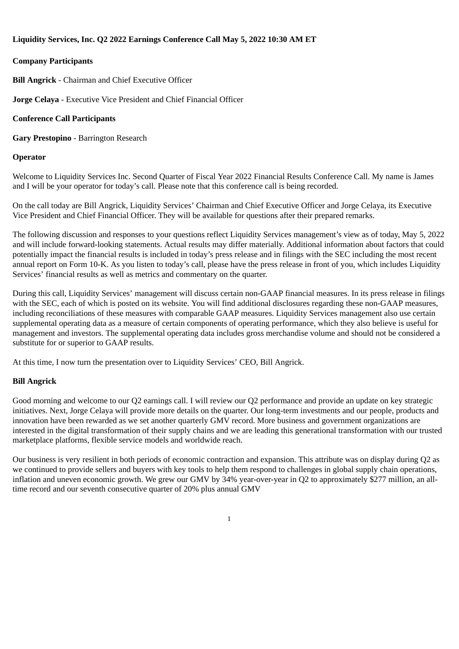## <span id="page-2-0"></span>**Liquidity Services, Inc. Q2 2022 Earnings Conference Call May 5, 2022 10:30 AM ET**

## **Company Participants**

**Bill Angrick** - Chairman and Chief Executive Officer

**Jorge Celaya** - Executive Vice President and Chief Financial Officer

#### **Conference Call Participants**

**Gary Prestopino** - Barrington Research

#### **Operator**

Welcome to Liquidity Services Inc. Second Quarter of Fiscal Year 2022 Financial Results Conference Call. My name is James and I will be your operator for today's call. Please note that this conference call is being recorded.

On the call today are Bill Angrick, Liquidity Services' Chairman and Chief Executive Officer and Jorge Celaya, its Executive Vice President and Chief Financial Officer. They will be available for questions after their prepared remarks.

The following discussion and responses to your questions reflect Liquidity Services management's view as of today, May 5, 2022 and will include forward-looking statements. Actual results may differ materially. Additional information about factors that could potentially impact the financial results is included in today's press release and in filings with the SEC including the most recent annual report on Form 10-K. As you listen to today's call, please have the press release in front of you, which includes Liquidity Services' financial results as well as metrics and commentary on the quarter.

During this call, Liquidity Services' management will discuss certain non-GAAP financial measures. In its press release in filings with the SEC, each of which is posted on its website. You will find additional disclosures regarding these non-GAAP measures, including reconciliations of these measures with comparable GAAP measures. Liquidity Services management also use certain supplemental operating data as a measure of certain components of operating performance, which they also believe is useful for management and investors. The supplemental operating data includes gross merchandise volume and should not be considered a substitute for or superior to GAAP results.

At this time, I now turn the presentation over to Liquidity Services' CEO, Bill Angrick.

#### **Bill Angrick**

Good morning and welcome to our Q2 earnings call. I will review our Q2 performance and provide an update on key strategic initiatives. Next, Jorge Celaya will provide more details on the quarter. Our long-term investments and our people, products and innovation have been rewarded as we set another quarterly GMV record. More business and government organizations are interested in the digital transformation of their supply chains and we are leading this generational transformation with our trusted marketplace platforms, flexible service models and worldwide reach.

Our business is very resilient in both periods of economic contraction and expansion. This attribute was on display during Q2 as we continued to provide sellers and buyers with key tools to help them respond to challenges in global supply chain operations, inflation and uneven economic growth. We grew our GMV by 34% year-over-year in Q2 to approximately \$277 million, an alltime record and our seventh consecutive quarter of 20% plus annual GMV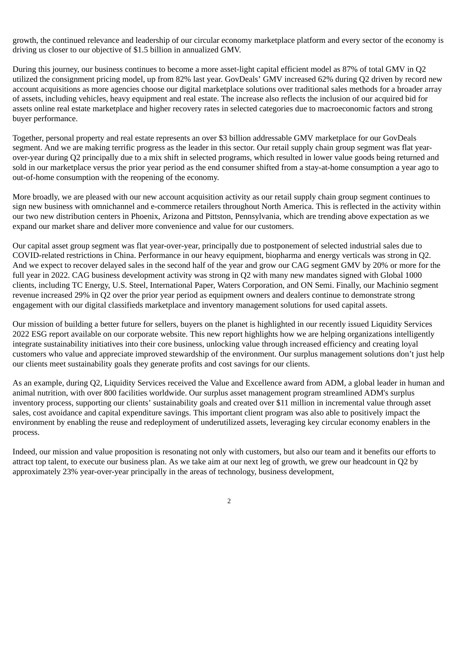growth, the continued relevance and leadership of our circular economy marketplace platform and every sector of the economy is driving us closer to our objective of \$1.5 billion in annualized GMV.

During this journey, our business continues to become a more asset-light capital efficient model as 87% of total GMV in Q2 utilized the consignment pricing model, up from 82% last year. GovDeals' GMV increased 62% during Q2 driven by record new account acquisitions as more agencies choose our digital marketplace solutions over traditional sales methods for a broader array of assets, including vehicles, heavy equipment and real estate. The increase also reflects the inclusion of our acquired bid for assets online real estate marketplace and higher recovery rates in selected categories due to macroeconomic factors and strong buyer performance.

Together, personal property and real estate represents an over \$3 billion addressable GMV marketplace for our GovDeals segment. And we are making terrific progress as the leader in this sector. Our retail supply chain group segment was flat yearover-year during Q2 principally due to a mix shift in selected programs, which resulted in lower value goods being returned and sold in our marketplace versus the prior year period as the end consumer shifted from a stay-at-home consumption a year ago to out-of-home consumption with the reopening of the economy.

More broadly, we are pleased with our new account acquisition activity as our retail supply chain group segment continues to sign new business with omnichannel and e-commerce retailers throughout North America. This is reflected in the activity within our two new distribution centers in Phoenix, Arizona and Pittston, Pennsylvania, which are trending above expectation as we expand our market share and deliver more convenience and value for our customers.

Our capital asset group segment was flat year-over-year, principally due to postponement of selected industrial sales due to COVID-related restrictions in China. Performance in our heavy equipment, biopharma and energy verticals was strong in Q2. And we expect to recover delayed sales in the second half of the year and grow our CAG segment GMV by 20% or more for the full year in 2022. CAG business development activity was strong in Q2 with many new mandates signed with Global 1000 clients, including TC Energy, U.S. Steel, International Paper, Waters Corporation, and ON Semi. Finally, our Machinio segment revenue increased 29% in Q2 over the prior year period as equipment owners and dealers continue to demonstrate strong engagement with our digital classifieds marketplace and inventory management solutions for used capital assets.

Our mission of building a better future for sellers, buyers on the planet is highlighted in our recently issued Liquidity Services 2022 ESG report available on our corporate website. This new report highlights how we are helping organizations intelligently integrate sustainability initiatives into their core business, unlocking value through increased efficiency and creating loyal customers who value and appreciate improved stewardship of the environment. Our surplus management solutions don't just help our clients meet sustainability goals they generate profits and cost savings for our clients.

As an example, during Q2, Liquidity Services received the Value and Excellence award from ADM, a global leader in human and animal nutrition, with over 800 facilities worldwide. Our surplus asset management program streamlined ADM's surplus inventory process, supporting our clients' sustainability goals and created over \$11 million in incremental value through asset sales, cost avoidance and capital expenditure savings. This important client program was also able to positively impact the environment by enabling the reuse and redeployment of underutilized assets, leveraging key circular economy enablers in the process.

Indeed, our mission and value proposition is resonating not only with customers, but also our team and it benefits our efforts to attract top talent, to execute our business plan. As we take aim at our next leg of growth, we grew our headcount in Q2 by approximately 23% year-over-year principally in the areas of technology, business development,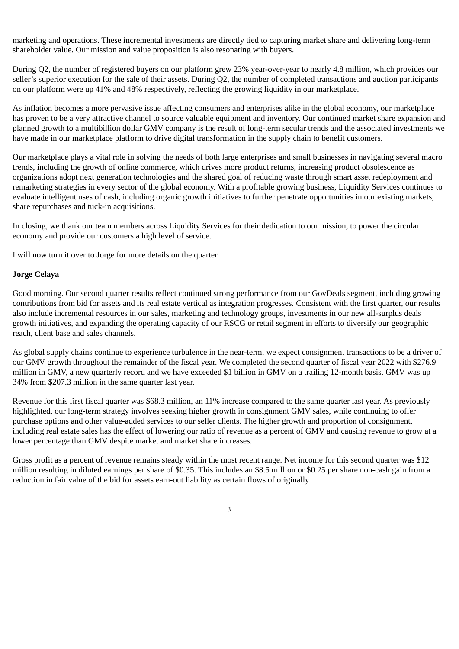marketing and operations. These incremental investments are directly tied to capturing market share and delivering long-term shareholder value. Our mission and value proposition is also resonating with buyers.

During Q2, the number of registered buyers on our platform grew 23% year-over-year to nearly 4.8 million, which provides our seller's superior execution for the sale of their assets. During Q2, the number of completed transactions and auction participants on our platform were up 41% and 48% respectively, reflecting the growing liquidity in our marketplace.

As inflation becomes a more pervasive issue affecting consumers and enterprises alike in the global economy, our marketplace has proven to be a very attractive channel to source valuable equipment and inventory. Our continued market share expansion and planned growth to a multibillion dollar GMV company is the result of long-term secular trends and the associated investments we have made in our marketplace platform to drive digital transformation in the supply chain to benefit customers.

Our marketplace plays a vital role in solving the needs of both large enterprises and small businesses in navigating several macro trends, including the growth of online commerce, which drives more product returns, increasing product obsolescence as organizations adopt next generation technologies and the shared goal of reducing waste through smart asset redeployment and remarketing strategies in every sector of the global economy. With a profitable growing business, Liquidity Services continues to evaluate intelligent uses of cash, including organic growth initiatives to further penetrate opportunities in our existing markets, share repurchases and tuck-in acquisitions.

In closing, we thank our team members across Liquidity Services for their dedication to our mission, to power the circular economy and provide our customers a high level of service.

I will now turn it over to Jorge for more details on the quarter.

#### **Jorge Celaya**

Good morning. Our second quarter results reflect continued strong performance from our GovDeals segment, including growing contributions from bid for assets and its real estate vertical as integration progresses. Consistent with the first quarter, our results also include incremental resources in our sales, marketing and technology groups, investments in our new all-surplus deals growth initiatives, and expanding the operating capacity of our RSCG or retail segment in efforts to diversify our geographic reach, client base and sales channels.

As global supply chains continue to experience turbulence in the near-term, we expect consignment transactions to be a driver of our GMV growth throughout the remainder of the fiscal year. We completed the second quarter of fiscal year 2022 with \$276.9 million in GMV, a new quarterly record and we have exceeded \$1 billion in GMV on a trailing 12-month basis. GMV was up 34% from \$207.3 million in the same quarter last year.

Revenue for this first fiscal quarter was \$68.3 million, an 11% increase compared to the same quarter last year. As previously highlighted, our long-term strategy involves seeking higher growth in consignment GMV sales, while continuing to offer purchase options and other value-added services to our seller clients. The higher growth and proportion of consignment, including real estate sales has the effect of lowering our ratio of revenue as a percent of GMV and causing revenue to grow at a lower percentage than GMV despite market and market share increases.

Gross profit as a percent of revenue remains steady within the most recent range. Net income for this second quarter was \$12 million resulting in diluted earnings per share of \$0.35. This includes an \$8.5 million or \$0.25 per share non-cash gain from a reduction in fair value of the bid for assets earn-out liability as certain flows of originally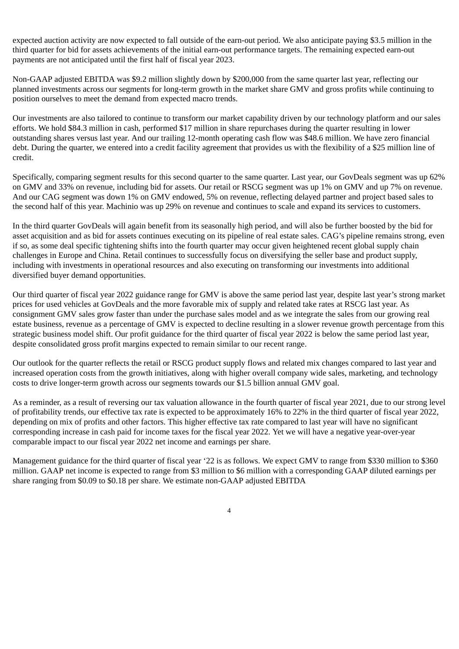expected auction activity are now expected to fall outside of the earn-out period. We also anticipate paying \$3.5 million in the third quarter for bid for assets achievements of the initial earn-out performance targets. The remaining expected earn-out payments are not anticipated until the first half of fiscal year 2023.

Non-GAAP adjusted EBITDA was \$9.2 million slightly down by \$200,000 from the same quarter last year, reflecting our planned investments across our segments for long-term growth in the market share GMV and gross profits while continuing to position ourselves to meet the demand from expected macro trends.

Our investments are also tailored to continue to transform our market capability driven by our technology platform and our sales efforts. We hold \$84.3 million in cash, performed \$17 million in share repurchases during the quarter resulting in lower outstanding shares versus last year. And our trailing 12-month operating cash flow was \$48.6 million. We have zero financial debt. During the quarter, we entered into a credit facility agreement that provides us with the flexibility of a \$25 million line of credit.

Specifically, comparing segment results for this second quarter to the same quarter. Last year, our GovDeals segment was up 62% on GMV and 33% on revenue, including bid for assets. Our retail or RSCG segment was up 1% on GMV and up 7% on revenue. And our CAG segment was down 1% on GMV endowed, 5% on revenue, reflecting delayed partner and project based sales to the second half of this year. Machinio was up 29% on revenue and continues to scale and expand its services to customers.

In the third quarter GovDeals will again benefit from its seasonally high period, and will also be further boosted by the bid for asset acquisition and as bid for assets continues executing on its pipeline of real estate sales. CAG's pipeline remains strong, even if so, as some deal specific tightening shifts into the fourth quarter may occur given heightened recent global supply chain challenges in Europe and China. Retail continues to successfully focus on diversifying the seller base and product supply, including with investments in operational resources and also executing on transforming our investments into additional diversified buyer demand opportunities.

Our third quarter of fiscal year 2022 guidance range for GMV is above the same period last year, despite last year's strong market prices for used vehicles at GovDeals and the more favorable mix of supply and related take rates at RSCG last year. As consignment GMV sales grow faster than under the purchase sales model and as we integrate the sales from our growing real estate business, revenue as a percentage of GMV is expected to decline resulting in a slower revenue growth percentage from this strategic business model shift. Our profit guidance for the third quarter of fiscal year 2022 is below the same period last year, despite consolidated gross profit margins expected to remain similar to our recent range.

Our outlook for the quarter reflects the retail or RSCG product supply flows and related mix changes compared to last year and increased operation costs from the growth initiatives, along with higher overall company wide sales, marketing, and technology costs to drive longer-term growth across our segments towards our \$1.5 billion annual GMV goal.

As a reminder, as a result of reversing our tax valuation allowance in the fourth quarter of fiscal year 2021, due to our strong level of profitability trends, our effective tax rate is expected to be approximately 16% to 22% in the third quarter of fiscal year 2022, depending on mix of profits and other factors. This higher effective tax rate compared to last year will have no significant corresponding increase in cash paid for income taxes for the fiscal year 2022. Yet we will have a negative year-over-year comparable impact to our fiscal year 2022 net income and earnings per share.

Management guidance for the third quarter of fiscal year '22 is as follows. We expect GMV to range from \$330 million to \$360 million. GAAP net income is expected to range from \$3 million to \$6 million with a corresponding GAAP diluted earnings per share ranging from \$0.09 to \$0.18 per share. We estimate non-GAAP adjusted EBITDA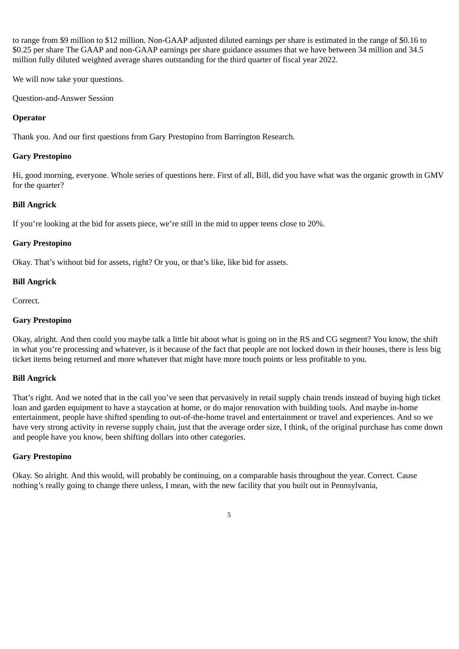to range from \$9 million to \$12 million. Non-GAAP adjusted diluted earnings per share is estimated in the range of \$0.16 to \$0.25 per share The GAAP and non-GAAP earnings per share guidance assumes that we have between 34 million and 34.5 million fully diluted weighted average shares outstanding for the third quarter of fiscal year 2022.

We will now take your questions.

Question-and-Answer Session

#### **Operator**

Thank you. And our first questions from Gary Prestopino from Barrington Research.

#### **Gary Prestopino**

Hi, good morning, everyone. Whole series of questions here. First of all, Bill, did you have what was the organic growth in GMV for the quarter?

## **Bill Angrick**

If you're looking at the bid for assets piece, we're still in the mid to upper teens close to 20%.

#### **Gary Prestopino**

Okay. That's without bid for assets, right? Or you, or that's like, like bid for assets.

## **Bill Angrick**

Correct.

#### **Gary Prestopino**

Okay, alright. And then could you maybe talk a little bit about what is going on in the RS and CG segment? You know, the shift in what you're processing and whatever, is it because of the fact that people are not locked down in their houses, there is less big ticket items being returned and more whatever that might have more touch points or less profitable to you.

#### **Bill Angrick**

That's right. And we noted that in the call you've seen that pervasively in retail supply chain trends instead of buying high ticket loan and garden equipment to have a staycation at home, or do major renovation with building tools. And maybe in-home entertainment, people have shifted spending to out-of-the-home travel and entertainment or travel and experiences. And so we have very strong activity in reverse supply chain, just that the average order size, I think, of the original purchase has come down and people have you know, been shifting dollars into other categories.

#### **Gary Prestopino**

Okay. So alright. And this would, will probably be continuing, on a comparable basis throughout the year. Correct. Cause nothing's really going to change there unless, I mean, with the new facility that you built out in Pennsylvania,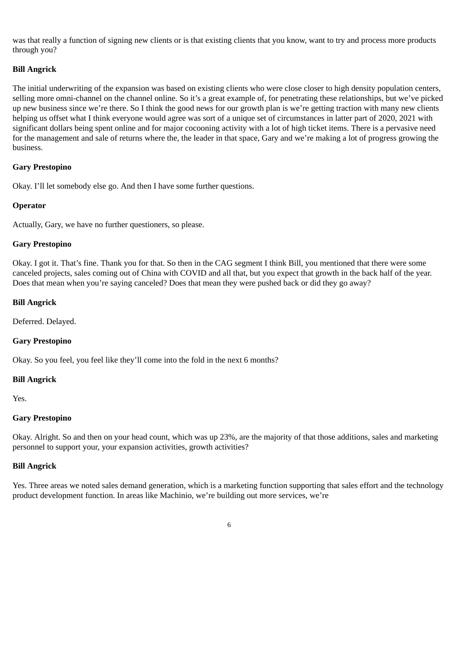was that really a function of signing new clients or is that existing clients that you know, want to try and process more products through you?

#### **Bill Angrick**

The initial underwriting of the expansion was based on existing clients who were close closer to high density population centers, selling more omni-channel on the channel online. So it's a great example of, for penetrating these relationships, but we've picked up new business since we're there. So I think the good news for our growth plan is we're getting traction with many new clients helping us offset what I think everyone would agree was sort of a unique set of circumstances in latter part of 2020, 2021 with significant dollars being spent online and for major cocooning activity with a lot of high ticket items. There is a pervasive need for the management and sale of returns where the, the leader in that space, Gary and we're making a lot of progress growing the business.

#### **Gary Prestopino**

Okay. I'll let somebody else go. And then I have some further questions.

#### **Operator**

Actually, Gary, we have no further questioners, so please.

#### **Gary Prestopino**

Okay. I got it. That's fine. Thank you for that. So then in the CAG segment I think Bill, you mentioned that there were some canceled projects, sales coming out of China with COVID and all that, but you expect that growth in the back half of the year. Does that mean when you're saying canceled? Does that mean they were pushed back or did they go away?

#### **Bill Angrick**

Deferred. Delayed.

#### **Gary Prestopino**

Okay. So you feel, you feel like they'll come into the fold in the next 6 months?

#### **Bill Angrick**

Yes.

#### **Gary Prestopino**

Okay. Alright. So and then on your head count, which was up 23%, are the majority of that those additions, sales and marketing personnel to support your, your expansion activities, growth activities?

#### **Bill Angrick**

Yes. Three areas we noted sales demand generation, which is a marketing function supporting that sales effort and the technology product development function. In areas like Machinio, we're building out more services, we're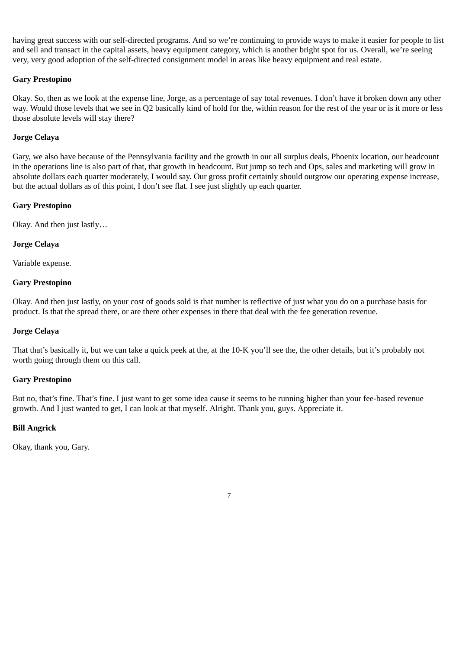having great success with our self-directed programs. And so we're continuing to provide ways to make it easier for people to list and sell and transact in the capital assets, heavy equipment category, which is another bright spot for us. Overall, we're seeing very, very good adoption of the self-directed consignment model in areas like heavy equipment and real estate.

#### **Gary Prestopino**

Okay. So, then as we look at the expense line, Jorge, as a percentage of say total revenues. I don't have it broken down any other way. Would those levels that we see in Q2 basically kind of hold for the, within reason for the rest of the year or is it more or less those absolute levels will stay there?

## **Jorge Celaya**

Gary, we also have because of the Pennsylvania facility and the growth in our all surplus deals, Phoenix location, our headcount in the operations line is also part of that, that growth in headcount. But jump so tech and Ops, sales and marketing will grow in absolute dollars each quarter moderately, I would say. Our gross profit certainly should outgrow our operating expense increase, but the actual dollars as of this point, I don't see flat. I see just slightly up each quarter.

## **Gary Prestopino**

Okay. And then just lastly…

## **Jorge Celaya**

Variable expense.

## **Gary Prestopino**

Okay. And then just lastly, on your cost of goods sold is that number is reflective of just what you do on a purchase basis for product. Is that the spread there, or are there other expenses in there that deal with the fee generation revenue.

#### **Jorge Celaya**

That that's basically it, but we can take a quick peek at the, at the 10-K you'll see the, the other details, but it's probably not worth going through them on this call.

#### **Gary Prestopino**

But no, that's fine. That's fine. I just want to get some idea cause it seems to be running higher than your fee-based revenue growth. And I just wanted to get, I can look at that myself. Alright. Thank you, guys. Appreciate it.

## **Bill Angrick**

Okay, thank you, Gary.